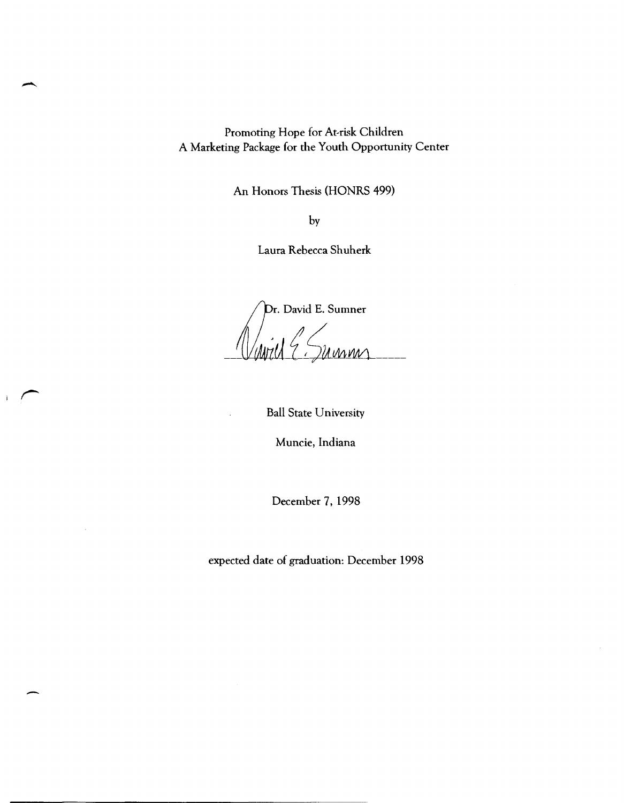Promoting Hope for At-risk Children A Marketing Package for the Youth Opportunity Center

An Honors Thesis (HONRS 499)

by

Laura Rebecca Shuherk

*Ifr.* David E. Sumner -((1iwzUf~~MWL\_-

Ball State University

 $\mathbf{i}$ 

Muncie, Indiana

December 7, 1998

expected date of graduation: December 1998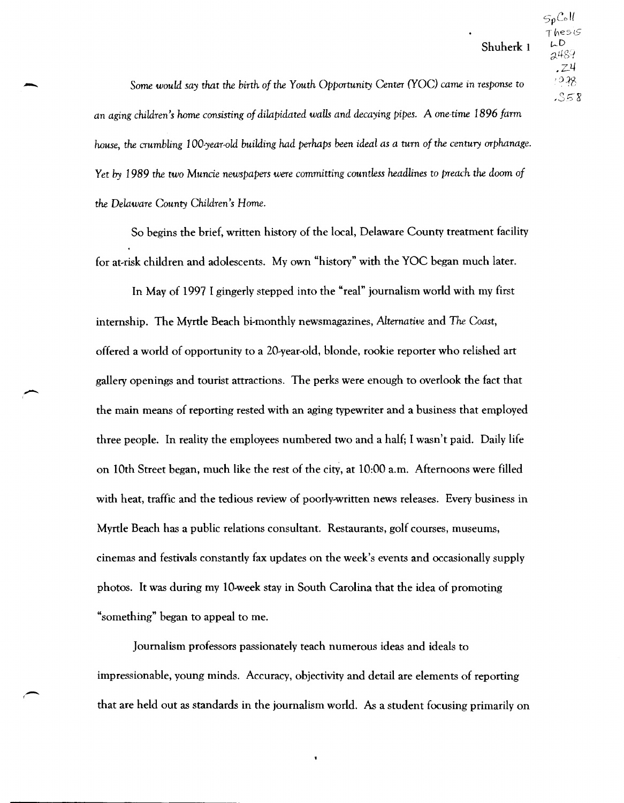*Some would say that the birth of the Youth Opportunity* Center *(YOC) came* in *response* to an *aging children's* Iwme consisting *of dilapidated waUs and decaying pipes.* A one-time 1896 *farm house, the crumbling 100-year-old building had perhaps* been *ideal as a* turn *of the century orphanage. Yet by* 1989 *the two Muncie newspapers were* committing *countless headlines* to *preach the doom of the Delaware County Children's Home.* 

-

f -

So begins the brief, written history of the local, Delaware County treatment facility for at-risk children and adolescents. My own "history" with the YOC began much later.

In May of 1997 I gingerly stepped into the "real" journalism world with my first internship. The Myrtle Beach bi-monthly newsmagazines, *Alternative* and *The Coast,*  offered a world of opportunity to a 20-year-old, blonde, rookie reporter who relished art gallery openings and tourist attractions. The perks were enough to overlook the fact that the main means of reporting rested with an aging typewriter and a business that employed three people. In reality the employees numbered two and a half; I wasn't paid. Daily life on 10th Street began, much like the rest of the city, at 10:00 a.m. Afternoons were filled with heat, traffic and the tedious review of poorly-written news releases. Every business in Myrtle Beach has a public relations consultant. Restaurants, golf courses, museums, cinemas and festivals constantly fax updates on the week's events and occasionally supply photos. It was during my lO-week stay in South Carolina that the idea of promoting "something" began to appeal to me.

Journalism professors passionately teach numerous ideas and ideals to impressionable, young minds. Accuracy, objectivity and detail are elements of reporting that are held out as standards in the journalism world. As a student focusing primarily on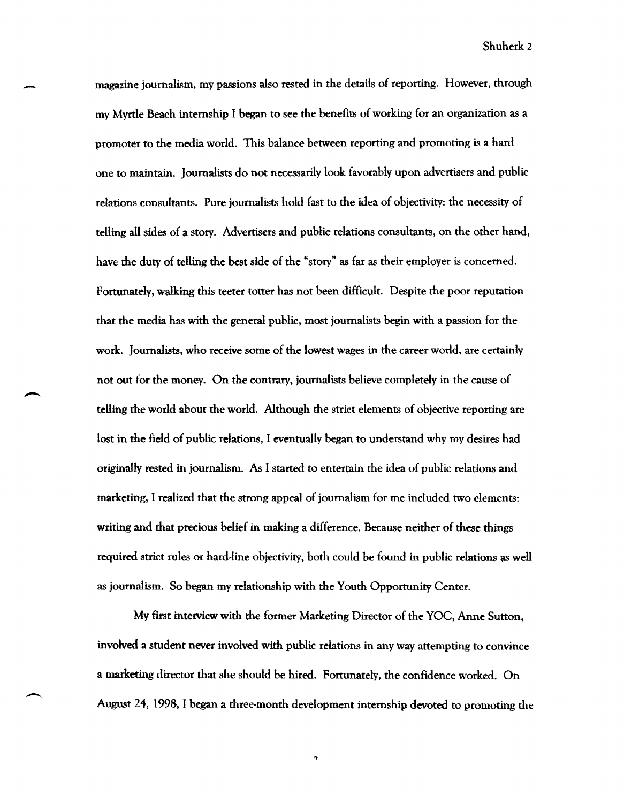magazine journalism, my passions also rested in the details of reporting. However, through my Myrtle Beach internship I began to see the benefits of working for an organization as a promoter to the media world. This balance between reporting and promoting is a hard one to maintain. Journalists do not necessarily look favorably upon advertisers and public relations consultants. Pure journalists hold fast to the idea of objectivity: the necessity of telling all sides of a story. Advertisers and public relations consultants, on the other hand, have the duty of telling the best side of the "story" as far as their employer is concerned. Fortunately, walking this teeter totter has not been difficult. Despite the poor reputation that the media has with the general public, most journalists begin with a passion for the work. Journalists, who receive some of the lowest wages in the career world, are certainly not out for the money. On the contrary, journalists believe completely in the cause of telling the world about the world. Although the strict elements of objective reporting are lost in the field of public relations, I eventually began to understand why my desires had originally rested in journalism. As I started to entertain the idea of public relations and marketing, I realized that the strong appeal of journalism for me included two elements: writing and that precious belief in making a difference. Because neither of these things required strict rules or hard-line objectivity, both could be found in public relations as well as journalism. So began my relationship with the Youth Opportunity Center.

-

-

My first interview with the former Marketing Director of the YOC, Anne Sutton, involved a student never involved with public relations in any way attempting to convince a marketing director that she should be hired. Fortunately, the confidence worked. On August 24, 1998, I began a three-month development internship devoted to promoting the

 $\hat{ }$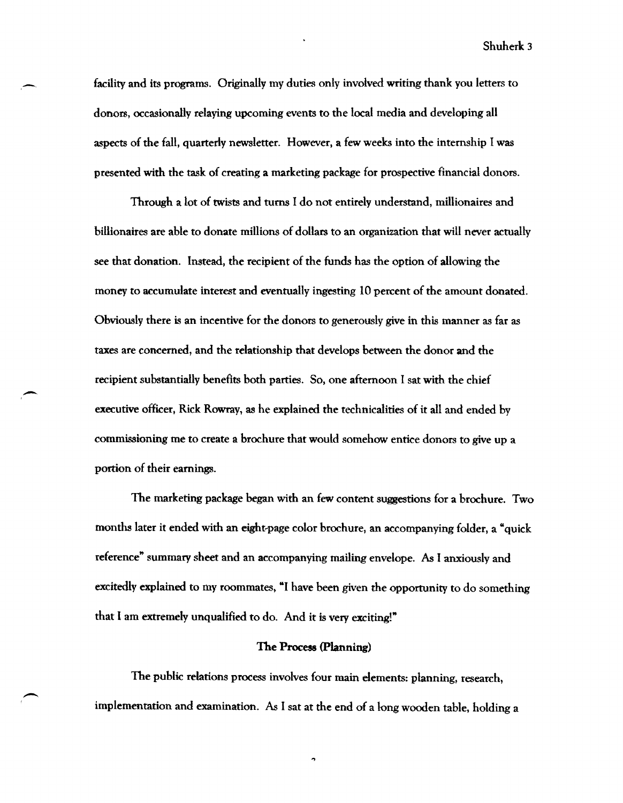facility and its programs. Originally my duties only involved writing thank you letters to donors, occasionally relaying upcoming events to the local media and developing all aspects of the fall, quarterly newsletter. However, a few weeks into the internship I was presented with the task of creating a marketing package for prospective financial donors.

 $\overline{\phantom{0}}$ 

 $\overline{\phantom{a}}$ 

 $\overline{\phantom{a}}$ 

Through a lot of twists and turns I do not entirely understand, millionaires and billionaires are able to donate millions of dollars to an organization that will never actually see that donation. Instead, the recipient of the funds has the option of allowing the money to accumulate interest and eventually ingesting 10 percent of the amount donated. Obviously there is an incentive for the donors to generously give in this manner as far as taxes are concerned, and the relationship that develops between the donor and the recipient substantially benefits both parties. So, one afternoon I sat with the chief executive officer, Rick Rowray, as he explained the technicalities of it all and ended by commissioning me to create a brochure that would somehow entice donors to give up a portion of their earnings.

The marketing package began with an few content suggestions for a brochure. Two months later it ended with an eight-page color brochure, an accompanying folder, a "quick reference" summary sheet and an accompanying mailing envelope. As I anxiously and excitedly explained to my roommates, "I have been given the opportunity to do something that I am extremely unqualified to do. And it is very exciting!"

## The Process (Planning)

The public relations process involves four main elements: planning, research, implementation and examination. As I sat at the end of a long wooden table, holding a

 $\ddot{\phantom{0}}$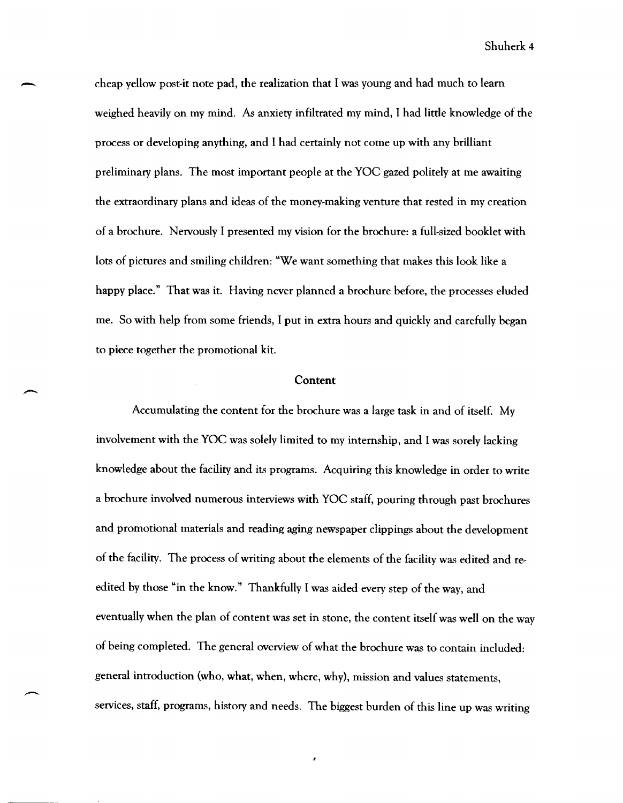cheap yellow post-it note pad, the realization that I was young and had much to learn weighed heavily on my mind. As anxiety infiltrated my mind, I had little knowledge of the process or developing anything, and I had certainly not come up with any brilliant preliminary plans. The most important people at the YOC gazed politely at me awaiting the extraordinary plans and ideas of the money~making venture that rested in my creation of a brochure. Nervously I presented my vision for the brochure: a full-sized booklet with lots of pictures and smiling children: "We want something that makes this look like a happy place." That was it. Having never planned a brochure before, the processes eluded me. So with help from some friends, I put in extra hours and quickly and carefully began to piece together the promotional kit.

-

 $\overline{\phantom{0}}$ 

### Content

Accumulating the content for the brochure was a large task in and of itself. My involvement with the YOC was solely limited to my internship, and I was sorely lacking knowledge about the facility and its programs. Acquiring this knowledge in order to write a brochure involved numerous interviews with YOC staff, pouring through past brochures and promotional materials and reading aging newspaper clippings about the development of the facility. The process of writing about the elements of the facility was edited and re~ edited by those "in the know." Thankfully I was aided every step of the way, and eventually when the plan of content was set in stone, the content itself was well on the way of being completed. The general overview of what the brochure was to contain included: general introduction (who, what, when, where, why), mission and values statements, services, staff, programs, history and needs. The biggest burden of this line up was writing

 $\overline{A}$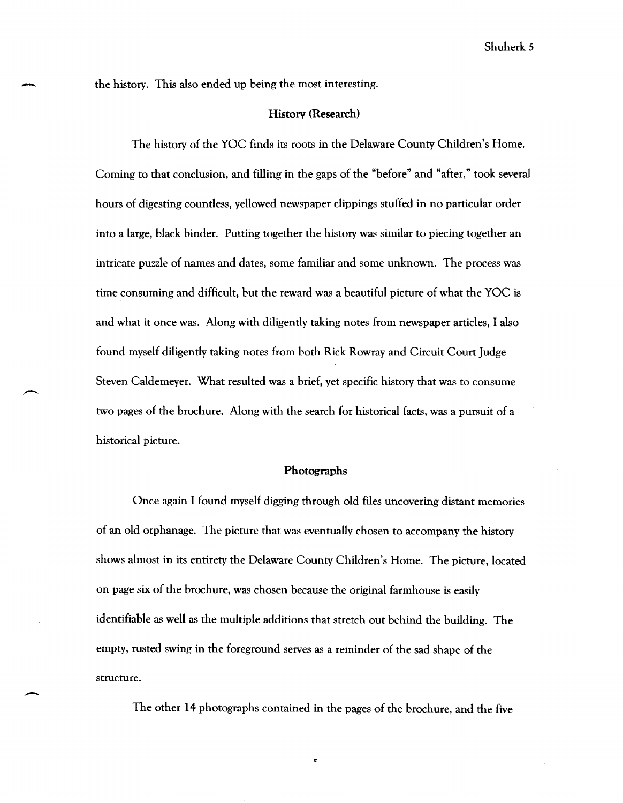-

-

### History (Research)

The history of the YOC finds its roots in the Delaware County Children's Home. Coming to that conclusion, and filling in the gaps of the "before" and "after," took several hours of digesting countless, yellowed newspaper clippings stuffed in no particular order into a large, black binder. Putting together the history was similar to piecing together an intricate puzzle of names and dates, some familiar and some unknown. The process was time consuming and difficult, but the reward was a beautiful picture of what the YOC is and what it once was. Along with diligently taking notes from newspaper articles, I also found myself diligently taking notes from both Rick Rowray and Circuit Court Judge Steven Caldemeyer. What resulted was a brief, yet specific history that was to consume two pages of the brochure. Along with the search for historical facts, was a pursuit of a historical picture.

#### Photographs

Once again I found myself digging through old files uncovering distant memories of an old orphanage. The picture that was eventually chosen to accompany the history shows almost in its entirety the Delaware County Children's Home. The picture, located on page six of the brochure, was chosen because the original farmhouse is easily identifiable as well as the multiple additions that stretch out behind the building. The empty, rusted swing in the foreground serves as a reminder of the sad shape of the structure.

The other 14 photographs contained in the pages of the brochure, and the five

 $\epsilon$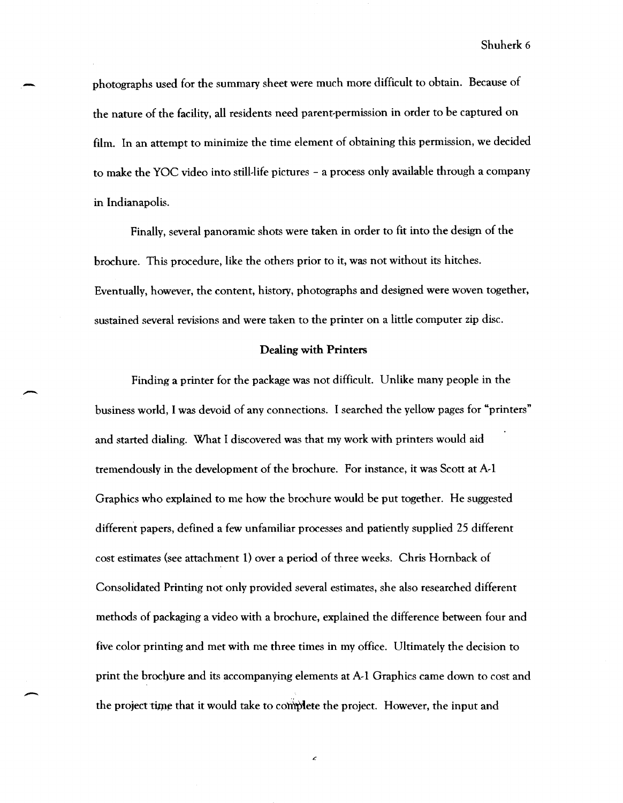photographs used for the summary sheet were much more difficult to obtain. Because of the nature of the facility, all residents need parent-permission in order to be captured on film. In an attempt to minimize the time element of obtaining this permission, we decided to make the YOC video into still-life pictures - a process only available through a company in Indianapolis.

Finally, several panoramic shots were taken in order to fit into the design of the brochure. This procedure, like the others prior to it, was not without its hitches. Eventually, however, the content, history, photographs and designed were woven together, sustained several revisions and were taken to the printer on a little computer zip disc.

### Dealing with Printers

Finding a printer for the package was not difficult. Unlike many people in the business world, I was devoid of any connections. I searched the yellow pages for "printers" and started dialing. What I discovered was that my work with printers would aid tremendously in the development of the brochure. For instance, it was Scott at A-1 Graphics who explained to me how the brochure would be put together. He suggested different papers, defined a few unfamiliar processes and patiently supplied 25 different cost estimates (see attachment 1) over a period of three weeks. Chris Hornback of Consolidated Printing not only provided several estimates, she also researched different methods of packaging a video with a brochure, explained the difference between four and five color printing and met with me three times in my office. Ultimately the decision to print the brochure and its accompanying elements at A-1 Graphics came down to cost and the project time that it would take to complete the project. However, the input and

 $\epsilon$ 

-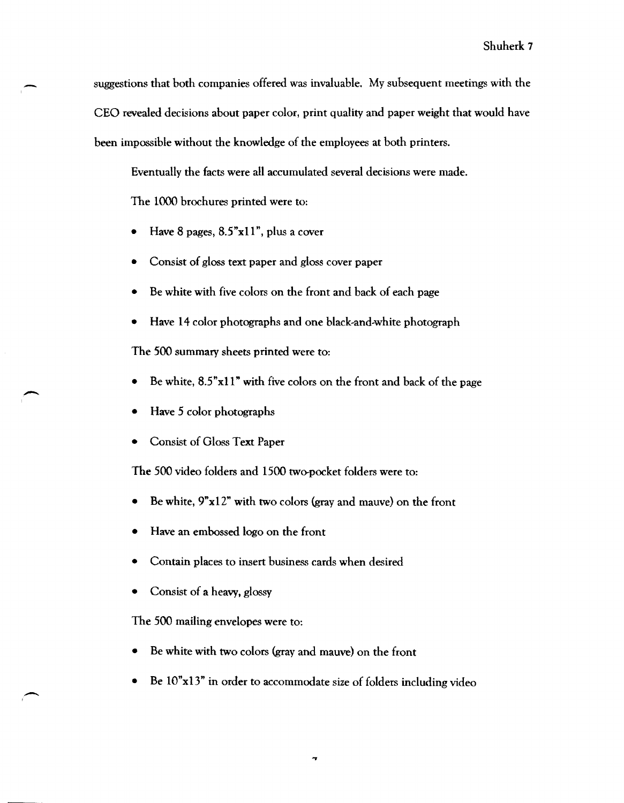suggestions that both companies offered was invaluable. My subsequent meetings with the CEO revealed decisions about paper color, print quality and paper weight that would have been impossible without the knowledge of the employees at both printers.

Eventually the facts were all accumulated several decisions were made.

The 1000 brochures printed were to:

- Have 8 pages,  $8.5$ "x11", plus a cover
- Consist of gloss text paper and gloss cover paper
- Be white with five colors on the front and back of each page
- Have 14 color photographs and one black-and-white photograph

The 500 summary sheets printed were to:

- Be white,  $8.5"$ x11" with five colors on the front and back of the page
- Have 5 color photographs

-

-

• Consist of Gloss Text Paper

The 500 video folders and 1500 two-pocket folders were to:

- Be white,  $9"x12"$  with two colors (gray and mauve) on the front
- Have an embossed logo on the front
- Contain places to insert business cards when desired
- Consist of a heavy, glossy

The 500 mailing envelopes were to:

- Be white with two colors (gray and mauve) on the front
- Be lO"x13" in order to accommodate size of folders including video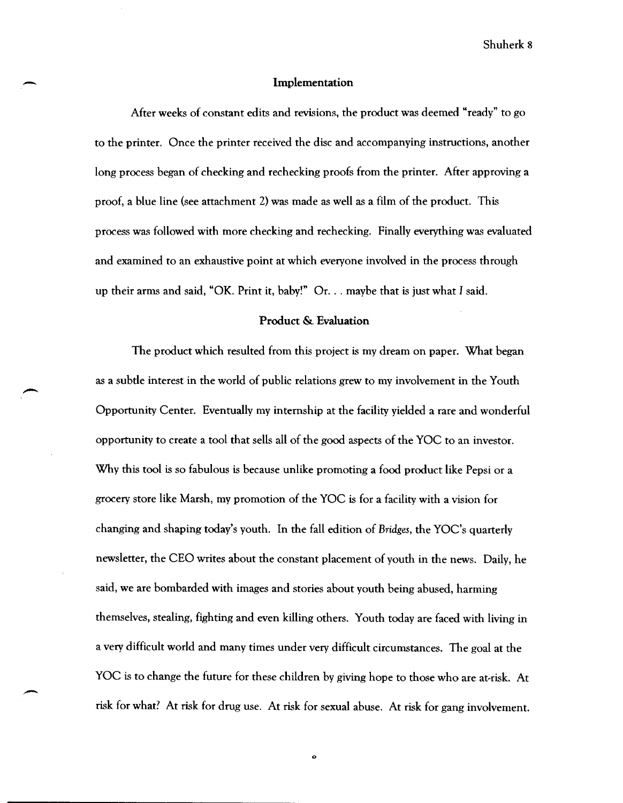#### Implementation

-

After weeks of constant edits and revisions, the product was deemed "ready" to go to the printer. Once the printer received the disc and accompanying instructions, another long process began of checking and rechecking proofs from the printer. After approving a proof, a blue line (see attachment 2) was made as well as a film of the product. This process was followed with more checking and rechecking. Finally everything was evaluated and examined to an exhaustive point at which everyone involved in the process through up their arms and said, "OK. Print it, baby!" Or. . . maybe that is just what I said.

## Product & Evaluation

The product which resulted from this project is my dream on paper. What began as a subtle interest in the world of public relations grew to my involvement in the Youth Opportunity Center. Eventually my internship at the facility yielded a rare and wonderful opportunity to create a tool that sells all of the good aspects of the YOC to an investor. Why this tool is so fabulous is because unlike promoting a food product like Pepsi or a grocery store like Marsh, my promotion of the YOC is for a facility with a vision for changing and shaping today's youth. In the fall edition of *Bridges,* the YOC's quarterly newsletter, the CEO writes about the constant placement of youth in the news. Daily, he said, we are bombarded with images and stories about youth being abused, harming themselves, stealing, fighting and even killing others. Youth today are faced with living in a very difficult world and many times under very difficult circumstances. The goal at the YOC is to change the future for these children by giving hope to those who are at-risk. At risk for what? At risk for drug use. At risk for sexual abuse. At risk for gang involvement.

o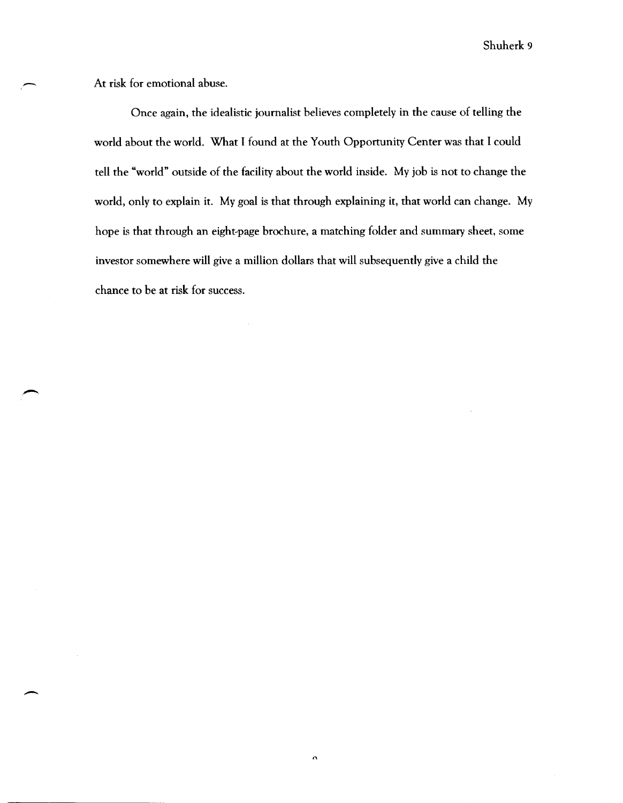At risk for emotional abuse.

-

-

 $\overline{\phantom{a}}$ 

Once again, the idealistic journalist believes completely in the cause of telling the world about the world. What I found at the Youth Opportunity Center was that I could tell the "world" outside of the facility about the world inside. My job is not to change the world, only to explain it. My goal is that through explaining it, that world can change. My hope is that through an eight~page brochure, a matching folder and summary sheet, some investor somewhere will give a million dollars that will subsequently give a child the chance to be at risk for success.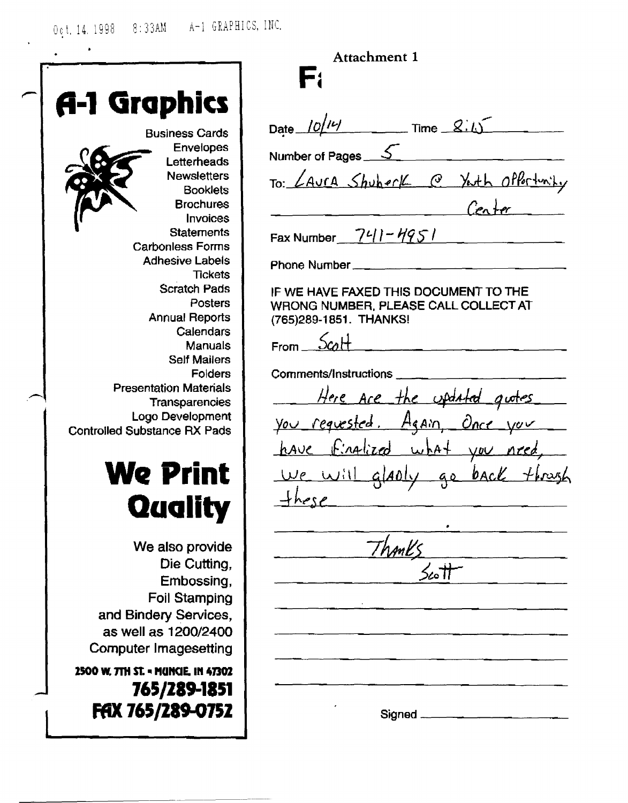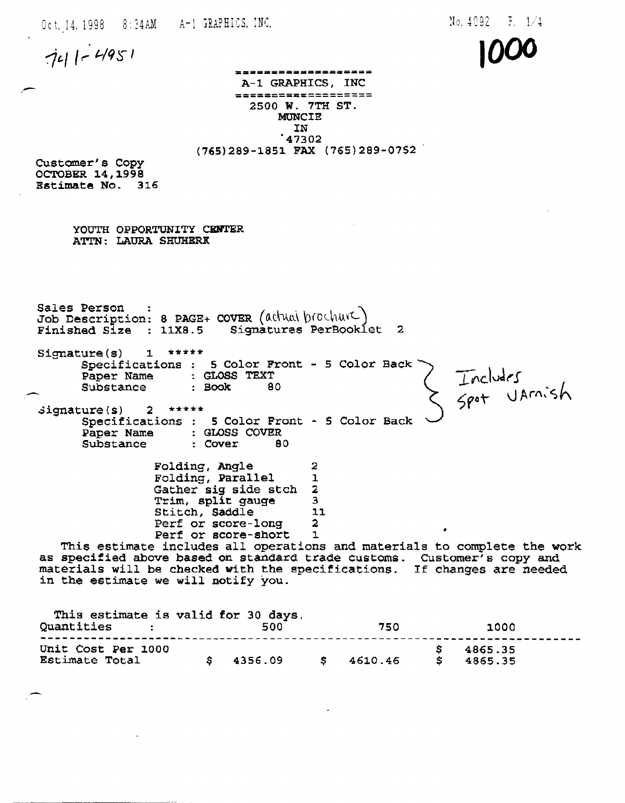Oct, 14, 1998 :3: ?4AM A-l;RAPHICS, :NC,

 $N<sub>0</sub>$ , 4092

**1000** 

 $741 - 4951$ 

,-

\_\_\_\_\_\_\_\_\_\_\_\_\_\_\_\_\_\_\_\_\_ A-1 GRAPHICS, INC =====~===:========= 2500 W. 7TH ST. **MUNCIE** IN '47302 (765)289-1851 FAX (765)289-0752

Customer's Copy OCTOBER 14,1998 Bstimate No. 316

> YOUTH OPPORTUNITY CENTER ATTN: LAURA SHUHERK

Sales Person :<br>Job Description: 8 PAGE+ COVER (athual brochure) Finished Size : 11X8.5 Signatures PerBooklet 2

signature(s) 1 \*\*\*\*\* Specifications 5 Color Front - 5 Color Back Includes<br>Spot UAmish Paper Name : GLOSS TEXT<br>
Substance : Book 8<br>
Signature(s) 2 \*\*\*\*\* Substance : Book 80

Specifications 5 Color Front - 5 Color Back Paper Name : GLOSS COVER Substance : Cover 80

> Folding, Angle 2<br>Folding, Parallel 1 Folding, Parallel 1<br>Gather sig side stch 2 Gather sig side stch 2<br>Trim, split gauge 3 Trim, split gauge 3<br>Stitch. Saddle 11 Stitch, Saddle 1:<br>Perf or score-long 2 Perf or score-long 2 Perf or score-short 1

Perf or score-short 1<br>This estimate includes all operations and materials to complete the work as specified above based on standard trade customs. Customer's copy and materials will be checked with the specifications. If changes are needed in the estimate we will notify you.

| This estimate is valid for 30 days.<br>Quantities | 500        | 750     | 1000               |  |
|---------------------------------------------------|------------|---------|--------------------|--|
| Unit Cost Per 1000<br>Estimate Total              | \$34356.09 | 4610.46 | 4865.35<br>4865.35 |  |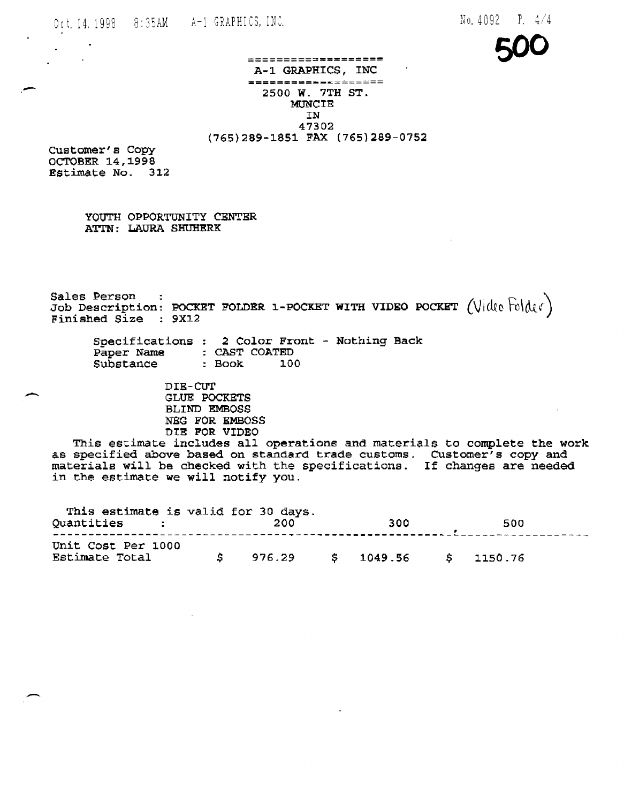

================== A-1 GRAPHICS, INC<br>==================== 2500 W. 7TH ST. MUNCIE IN 47302 (765)289-1851 FAX (765)289-0752

customer's Copy OCTOBER 14,1998 Estimate No. 312

-

 $\overline{\phantom{a}}$ 

YOUTH OPPORTUNITY CENTER ATTN: LAURA SHUHERK

Sales Person :  $\frac{1}{2}$  =  $\frac{1}{2}$  =  $\frac{1}{2}$  =  $\frac{1}{2}$  =  $\frac{1}{2}$  =  $\frac{1}{2}$  =  $\frac{1}{2}$  =  $\frac{1}{2}$  =  $\frac{1}{2}$  =  $\frac{1}{2}$  =  $\frac{1}{2}$  =  $\frac{1}{2}$  =  $\frac{1}{2}$  =  $\frac{1}{2}$  =  $\frac{1}{2}$  =  $\frac{1}{2}$  =  $\frac{1}{2}$  =  $\$ Job Description: POCKET FOLDER 1-POCKET WITH VIDEO POCKET (Video Felder)<br>Finished Size : 9X12

Specifications 2 Color Front - Nothing Back Paper Name CAST COATED Substance Book 100

> DIE-CUT GLUE POCKETS BLIND EMBOSS :NEG FOR EMBOSS DIE FOR VIDEO

This estimate includes all operations and materials to complete the work as specified above based on standard trade customs. Customer's copy and as specifica above based on standard trade cascoms. Cascomer s copy and<br>materials will be checked with the specifications. If changes are needed in the estimate we will notify you.

| This estimate is valid for 30 days.<br>Quantities<br>$\mathcal{L}_{\text{max}}$ and $\mathcal{L}_{\text{max}}$ |    | 200 | 300                            | 500 |
|----------------------------------------------------------------------------------------------------------------|----|-----|--------------------------------|-----|
| Unit Cost Per 1000<br>Estimate Total                                                                           | S. |     | $976.29$ \$ 1049.56 \$ 1150.76 |     |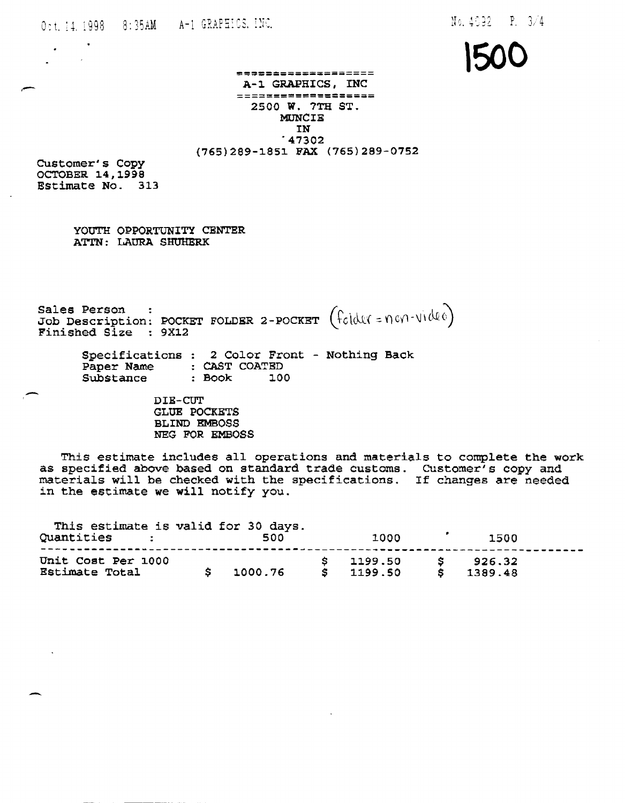**'500** 

# \*\*\*\*\*\*\*\*\*\*\*\*\*\*\*\*\*\*\* A-1 GRAPHICS, INC<br>==================== 2500 W. 7TH ST. MDNCIE  $147302$ (765)289-1851 FAX (765)289-0752

Customer's Copy OCTOBER 14, 1998 Estimate No. 313

 $\mathcal{L}$ 

YOUTH OPPORTUNITY CENTER ATTN: LAURA SHUHERK

Sales Person :  $\frac{1}{2}$  :  $\frac{1}{2}$   $\frac{1}{2}$   $\frac{1}{2}$   $\frac{1}{2}$   $\frac{1}{2}$   $\frac{1}{2}$   $\frac{1}{2}$   $\frac{1}{2}$   $\frac{1}{2}$   $\frac{1}{2}$   $\frac{1}{2}$   $\frac{1}{2}$   $\frac{1}{2}$   $\frac{1}{2}$   $\frac{1}{2}$   $\frac{1}{2}$   $\frac{1}{2}$   $\frac{1}{2}$   $\frac{1}{2}$   $\frac{$ Job Description: POCKET FOLDER 2-POCKET ( $f_{\text{col}}(U_{\text{col}}=0.001\cdot\text{U}(0.00))$ Finished Size : 9X12

> Specifications 2 Color Front - Nothing Back Paper Name CAST COATED Substance  $: Book$   $100$

> > DIB-CUT GLUE POCKETS BLIND EMBOSS NEG FOR EMBOSS

This estimate includes all operations and materials to complete the work as specified above. based on standard trade customs. Customer's copy and as specified above based on standard trade customs. Customer s copy and<br>materials will be checked with the specifications. If changes are needed in the estimate we will notify you.

| This estimate is valid for 30 days.<br>Quantities : | 500     | 1000                |     | 1500              |  |
|-----------------------------------------------------|---------|---------------------|-----|-------------------|--|
| Unit Cost Per 1000<br>Estimate Total                | 1000.76 | 1199.50<br>\$199.50 | - S | 926.32<br>1389.48 |  |

-

-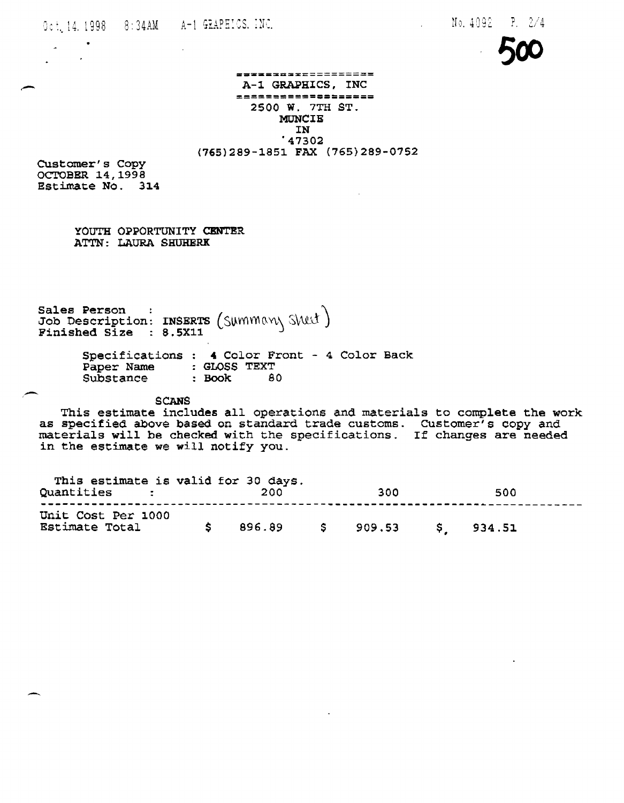Oct. 14. 1998 8: 34AM A-1 GRAPHICS. INC.

 $\mathcal{L}^{\text{max}}$ 



## =================== A-1 GRAPHICS, INC<br>==================== 2500 W. 7TH ST. MUNCIE IN '47302 (765)289-1851 FAX (765)289-0752

Customer's Copy OCTOBER 14,1998 Estimate No. 314

 $\mathbf{A}$ 

,-

YOUTH OPPORTUNITY CENTER ATTN: LAURA SHUHERK

Sales Person :  $\left($   $\alpha$   $\right)$   $\left($   $\alpha$   $\right)$   $\left($   $\alpha$   $\right)$   $\left($   $\alpha$   $\right)$   $\left($   $\alpha$   $\right)$   $\left($   $\alpha$   $\right)$   $\left($   $\alpha$   $\right)$   $\left($   $\alpha$   $\right)$   $\left($   $\alpha$   $\right)$   $\left($   $\alpha$   $\right)$   $\left($   $\alpha$   $\right)$   $\left($   $\alpha$   $\alpha$   $\right$ Job Description: INSERTS (SUMMAN\SWL\)  $\frac{1}{2}$   $\frac{1}{2}$   $\frac{1}{2}$   $\frac{1}{2}$   $\frac{1}{2}$   $\frac{1}{2}$   $\frac{1}{2}$   $\frac{1}{2}$   $\frac{1}{2}$   $\frac{1}{2}$   $\frac{1}{2}$   $\frac{1}{2}$   $\frac{1}{2}$   $\frac{1}{2}$   $\frac{1}{2}$   $\frac{1}{2}$   $\frac{1}{2}$   $\frac{1}{2}$   $\frac{1}{2}$   $\frac{1}{2}$   $\frac{1}{2}$   $\frac{1}{2}$ 

> Specifications : 4 Color Front - 4 Color Back Paper Name GLOSS TEXT Substance : Book 80

> > SCANS

This estimate includes all operations and materials to complete the work as specified above based on standard trade customs. CUstomer's copy and materials will be checked with the specifications. If changes are needed in the estimate we will notify you.

| This estimate is valid for 30 days.<br>Quantities : | 200    | 300                | 500 |  |
|-----------------------------------------------------|--------|--------------------|-----|--|
| Unit Cost Per 1000<br>Estimate Total                | 896.89 | $$909.53$ \$934.51 |     |  |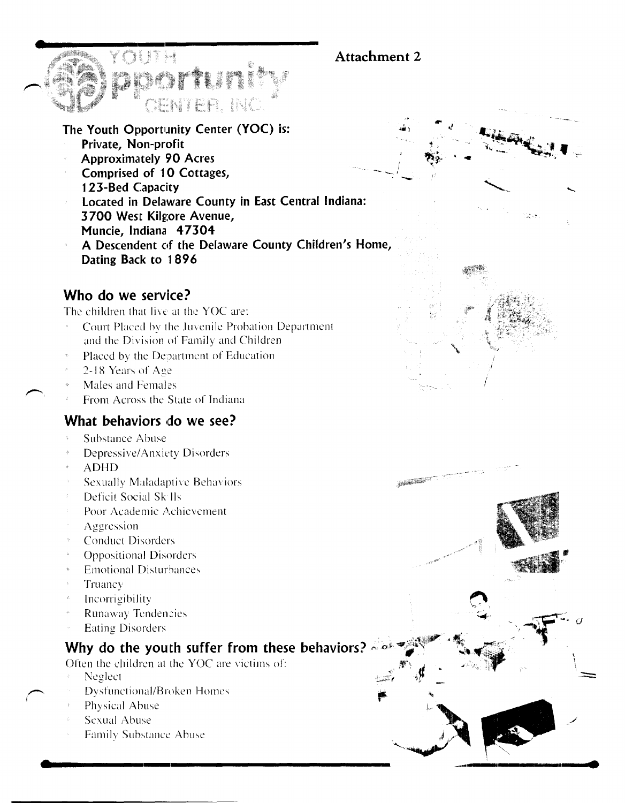# Attachment 2

**STANDARD COMPANY** 



- Private, Non-profit
- **Approximately 90 Acres**
- Comprised of 10 Cottages, 123-Bed Capacity
- Located in Delaware County in East Central Indiana: 3700 West Kilgore Avenue, Muncie, Indiana 47304

IHR IN

A Descendent of the Delaware County Children's Home, Dating Back to 1896

# Who do we service?

The children that live at the YOC are:

- Court Placed by the Juvenile Probation Department and the Division of Family and Children
- Placed by the Department of Education
- 2-18 Years of Age
- Males and Females
- From Across the State of Indiana

# What behaviors do we see?

- Substance Abuse
- Depressive/Anxiety Disorders
- **ADHD**
- **Sexually Maladaptive Behaviors**
- Deficit Social Sk lls  $\hat{z}$
- Poor Academic Achievement
- Aggression
- **Conduct Disorders**
- **Oppositional Disorders**
- **Emotional Disturbances**
- Truancy
- Incorrigibility
- **Runaway Tendencies**
- **Eating Disorders**

# Why do the youth suffer from these behaviors?

Often the children at the YOC are victims of:

- Neglect
- Dysfunctional/Broken Homes
- Physical Abuse
- Sexual Abuse
- Family Substance Abuse